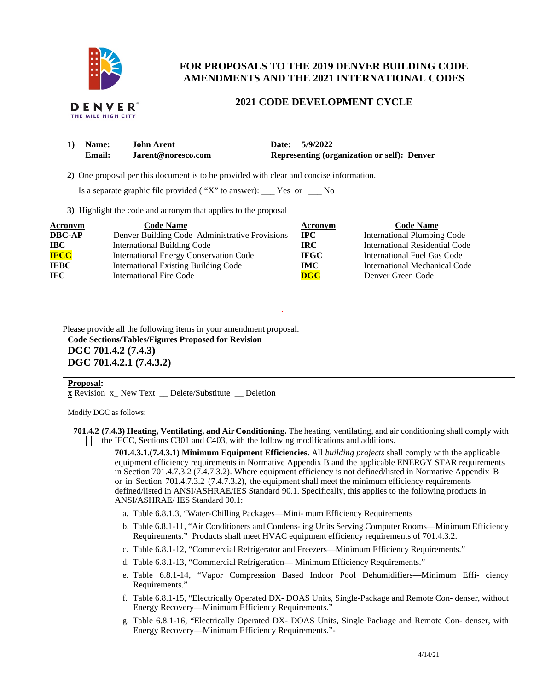

# **FOR PROPOSALS TO THE 2019 DENVER BUILDING CODE AMENDMENTS AND THE 2021 INTERNATIONAL CODES**

#### DENVER THE MILE HIGH CITY

# **2021 CODE DEVELOPMENT CYCLE**

| 1) Name: | John Arent         | Date: 5/9/2022                                     |
|----------|--------------------|----------------------------------------------------|
| Email:   | Jarent@noresco.com | <b>Representing (organization or self): Denver</b> |

 **2)** One proposal per this document is to be provided with clear and concise information.

Is a separate graphic file provided ( "X" to answer): \_\_\_ Yes or \_\_\_ No

**3)** Highlight the code and acronym that applies to the proposal

| <b>Acronym</b> | <b>Code Name</b>                               | <b>Acronym</b>            | <b>Code Name</b>                   |
|----------------|------------------------------------------------|---------------------------|------------------------------------|
| <b>DBC-AP</b>  | Denver Building Code-Administrative Provisions | $\bf IPC$                 | <b>International Plumbing Code</b> |
| $\bf IBC$      | <b>International Building Code</b>             | <b>IRC</b>                | International Residential Code     |
| <b>IECC</b>    | International Energy Conservation Code         | <b>IFGC</b>               | International Fuel Gas Code        |
| <b>IEBC</b>    | <b>International Existing Building Code</b>    | IMC.                      | International Mechanical Code      |
| IFC.           | <b>International Fire Code</b>                 | $\overline{\textbf{DGC}}$ | Denver Green Code                  |

Please provide all the following items in your amendment proposal.

**Code Sections/Tables/Figures Proposed for Revision** 

**DGC 701.4.2 (7.4.3) DGC 701.4.2.1 (7.4.3.2)** 

### **Proposal:**

**x** Revision x\_ New Text \_\_ Delete/Substitute \_\_ Deletion

Modify DGC as follows:

**701.4.2 (7.4.3) Heating, Ventilating, and Air Conditioning.** The heating, ventilating, and air conditioning shall comply with | the IECC, Sections C301 and C403, with the following modifications and additions.

**.** 

**701.4.3.1.(7.4.3.1) Minimum Equipment Efficiencies.** All *building projects* shall comply with the applicable equipment efficiency requirements in Normative Appendix B and the applicable ENERGY STAR requirements in Section 701.4.7.3.2 (7.4.7.3.2). Where equipment efficiency is not defined/listed in Normative Appendix B or in Section 701.4.7.3.2 (7.4.7.3.2), the equipment shall meet the minimum efficiency requirements defined/listed in ANSI/ASHRAE/IES Standard 90.1. Specifically, this applies to the following products in ANSI/ASHRAE/ IES Standard 90.1:

- a. Table 6.8.1.3, "Water-Chilling Packages—Mini- mum Efficiency Requirements
- b. Table 6.8.1-11, "Air Conditioners and Condens- ing Units Serving Computer Rooms—Minimum Efficiency Requirements." Products shall meet HVAC equipment efficiency requirements of 701.4.3.2.
- c. Table 6.8.1-12, "Commercial Refrigerator and Freezers—Minimum Efficiency Requirements."
- d. Table 6.8.1-13, "Commercial Refrigeration— Minimum Efficiency Requirements."
- e. Table 6.8.1-14, "Vapor Compression Based Indoor Pool Dehumidifiers—Minimum Effi- ciency Requirements."
- f. Table 6.8.1-15, "Electrically Operated DX- DOAS Units, Single-Package and Remote Con- denser, without Energy Recovery—Minimum Efficiency Requirements."
- g. Table 6.8.1-16, "Electrically Operated DX- DOAS Units, Single Package and Remote Con- denser, with Energy Recovery—Minimum Efficiency Requirements."-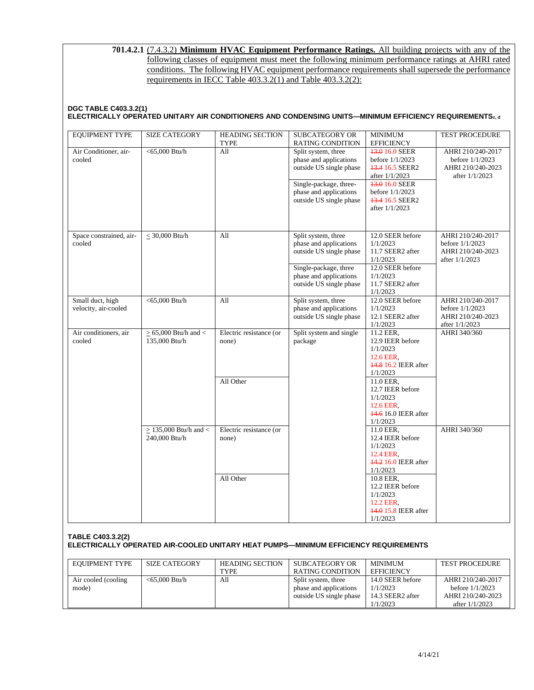### **701.4.2.1** (7.4.3.2) **Minimum HVAC Equipment Performance Ratings.** All building projects with any of the following classes of equipment must meet the following minimum performance ratings at AHRI rated conditions. The following HVAC equipment performance requirements shall supersede the performance requirements in IECC Table 403.3.2(1) and Table 403.3.2(2):

### **DGC TABLE C403.3.2(1) ELECTRICALLY OPERATED UNITARY AIR CONDITIONERS AND CONDENSING UNITS—MINIMUM EFFICIENCY REQUIREMENTSc, d**

| <b>EQUIPMENT TYPE</b>                    | <b>SIZE CATEGORY</b>                       | <b>HEADING SECTION</b><br><b>TYPE</b> | <b>SUBCATEGORY OR</b><br><b>RATING CONDITION</b>                                                  | <b>MINIMUM</b><br><b>EFFICIENCY</b>                                                        | TEST PROCEDURE                                                                |
|------------------------------------------|--------------------------------------------|---------------------------------------|---------------------------------------------------------------------------------------------------|--------------------------------------------------------------------------------------------|-------------------------------------------------------------------------------|
| Air Conditioner, air-<br>cooled          | $<$ 65,000 Btu/h                           | $\overline{All}$                      | Split system, three<br>phase and applications<br>outside US single phase                          | 13.0 16.0 SEER<br>before $1/1/2023$<br>43.4 16.5 SEER2<br>after 1/1/2023                   | AHRI 210/240-2017<br>before $1/1/2023$<br>AHRI 210/240-2023<br>after 1/1/2023 |
|                                          |                                            |                                       | Single-package, three-<br>phase and applications<br>outside US single phase                       | <b>13.0 16.0 SEER</b><br>before 1/1/2023<br><b>13.4 16.5 SEER2</b><br>after 1/1/2023       |                                                                               |
| Space constrained, air-<br>cooled        | $\leq$ 30,000 Btu/h                        | A11                                   | Split system, three<br>phase and applications<br>outside US single phase<br>Single-package, three | 12.0 SEER before<br>1/1/2023<br>11.7 SEER2 after<br>1/1/2023<br>12.0 SEER before           | AHRI 210/240-2017<br>before 1/1/2023<br>AHRI 210/240-2023<br>after $1/1/2023$ |
|                                          |                                            |                                       | phase and applications<br>outside US single phase                                                 | 1/1/2023<br>11.7 SEER2 after<br>1/1/2023                                                   |                                                                               |
| Small duct, high<br>velocity, air-cooled | $<$ 65,000 Btu/h                           | All                                   | Split system, three<br>phase and applications<br>outside US single phase                          | 12.0 SEER before<br>1/1/2023<br>12.1 SEER2 after<br>1/1/2023                               | AHRI 210/240-2017<br>before 1/1/2023<br>AHRI 210/240-2023<br>after 1/1/2023   |
| Air conditioners, air<br>cooled          | $\geq$ 65,000 Btu/h and <<br>135,000 Btu/h | Electric resistance (or<br>none)      | Split system and single<br>package                                                                | 11.2 EER,<br>12.9 IEER before<br>1/1/2023<br>12.6 EER,<br>44.8 16.2 IEER after<br>1/1/2023 | AHRI 340/360                                                                  |
|                                          |                                            | All Other                             |                                                                                                   | 11.0 EER,<br>12.7 IEER before<br>1/1/2023<br>12.6 EER.<br>44.6 16.0 IEER after<br>1/1/2023 |                                                                               |
|                                          | $>$ 135,000 Btu/h and $<$<br>240,000 Btu/h | Electric resistance (or<br>none)      |                                                                                                   | 11.0 EER,<br>12.4 IEER before<br>1/1/2023<br>12.4 EER,<br>44.2 16.0 IEER after<br>1/1/2023 | AHRI 340/360                                                                  |
|                                          |                                            | All Other                             |                                                                                                   | 10.8 EER,<br>12.2 IEER before<br>1/1/2023<br>12.2 EER,<br>44.0 15.8 IEER after<br>1/1/2023 |                                                                               |

### **TABLE C403.3.2(2) ELECTRICALLY OPERATED AIR-COOLED UNITARY HEAT PUMPS—MINIMUM EFFICIENCY REQUIREMENTS**

| <b>EOUIPMENT TYPE</b> | SIZE CATEGORY    | <b>HEADING SECTION</b> | SUBCATEGORY OR          | <b>MINIMUM</b>    | <b>TEST PROCEDURE</b> |
|-----------------------|------------------|------------------------|-------------------------|-------------------|-----------------------|
|                       |                  | <b>TYPE</b>            | RATING CONDITION        | <b>EFFICIENCY</b> |                       |
| Air cooled (cooling   | $<$ 65.000 Btu/h | All                    | Split system, three     | 14.0 SEER before  | AHRI 210/240-2017     |
| mode)                 |                  |                        | phase and applications  | 1/1/2023          | before $1/1/2023$     |
|                       |                  |                        | outside US single phase | 14.3 SEER2 after  | AHRI 210/240-2023     |
|                       |                  |                        |                         | 1/1/2023          | after 1/1/2023        |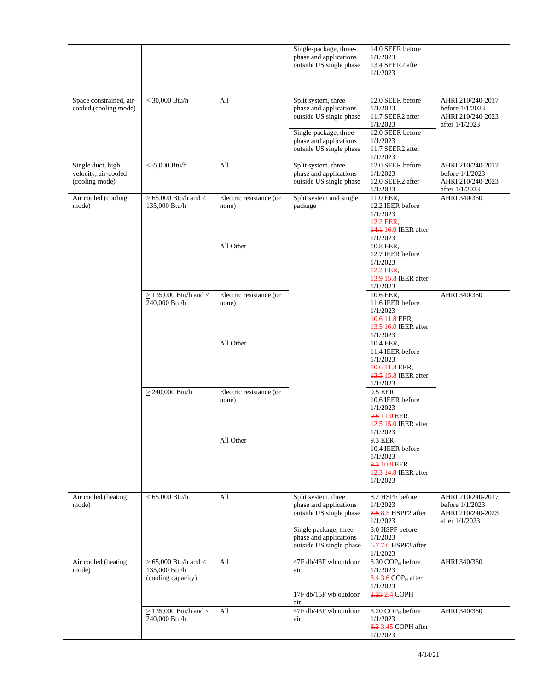|                                                  |                                             |                                  | Single-package, three-<br>phase and applications<br>outside US single phase | 14.0 SEER before<br>1/1/2023<br>13.4 SEER2 after      |                                                        |
|--------------------------------------------------|---------------------------------------------|----------------------------------|-----------------------------------------------------------------------------|-------------------------------------------------------|--------------------------------------------------------|
|                                                  |                                             |                                  |                                                                             | 1/1/2023                                              |                                                        |
| Space constrained, air-<br>cooled (cooling mode) | $\leq$ 30,000 Btu/h                         | All                              | Split system, three<br>phase and applications                               | 12.0 SEER before<br>1/1/2023                          | AHRI 210/240-2017<br>before 1/1/2023                   |
|                                                  |                                             |                                  | outside US single phase                                                     | 11.7 SEER2 after<br>1/1/2023                          | AHRI 210/240-2023<br>after $1/1/2023$                  |
|                                                  |                                             |                                  | Single-package, three                                                       | 12.0 SEER before<br>1/1/2023                          |                                                        |
|                                                  |                                             |                                  | phase and applications<br>outside US single phase                           | 11.7 SEER2 after<br>1/1/2023                          |                                                        |
| Single duct, high                                | $<$ 65,000 Btu/h                            | All                              | Split system, three                                                         | 12.0 SEER before<br>1/1/2023                          | AHRI 210/240-2017                                      |
| velocity, air-cooled<br>(cooling mode)           |                                             |                                  | phase and applications<br>outside US single phase                           | 12.0 SEER2 after<br>1/1/2023                          | before 1/1/2023<br>AHRI 210/240-2023<br>after 1/1/2023 |
| Air cooled (cooling<br>mode)                     | $\geq$ 65,000 Btu/h and <<br>135,000 Btu/h  | Electric resistance (or<br>none) | Split system and single<br>package                                          | 11.0 EER,<br>12.2 IEER before                         | AHRI 340/360                                           |
|                                                  |                                             |                                  |                                                                             | 1/1/2023<br>12.2 EER,                                 |                                                        |
|                                                  |                                             |                                  |                                                                             | <b>44.1 16.0 IEER</b> after<br>1/1/2023               |                                                        |
|                                                  |                                             | All Other                        |                                                                             | 10.8 EER,<br>12.7 IEER before                         |                                                        |
|                                                  |                                             |                                  |                                                                             | 1/1/2023<br>12.2 EER,                                 |                                                        |
|                                                  |                                             |                                  |                                                                             | 43.9 15.8 IEER after<br>1/1/2023                      |                                                        |
|                                                  | $\geq$ 135,000 Btu/h and <<br>240,000 Btu/h | Electric resistance (or<br>none) |                                                                             | 10.6 EER,<br>11.6 IEER before                         | AHRI 340/360                                           |
|                                                  |                                             |                                  |                                                                             | 1/1/2023<br>40.6 11.8 EER.                            |                                                        |
|                                                  |                                             |                                  |                                                                             | 43.5 16.0 IEER after<br>1/1/2023                      |                                                        |
|                                                  |                                             | All Other                        |                                                                             | 10.4 EER,<br>11.4 IEER before<br>1/1/2023             |                                                        |
|                                                  |                                             |                                  |                                                                             | 40.6 11.8 EER,<br>43.5 15.8 IEER after                |                                                        |
|                                                  | $\geq$ 240,000 Btu/h                        | Electric resistance (or          |                                                                             | 1/1/2023<br>9.5 EER,                                  |                                                        |
|                                                  |                                             | none)                            |                                                                             | 10.6 IEER before<br>1/1/2023                          |                                                        |
|                                                  |                                             |                                  |                                                                             | 9.5 11.0 EER,<br>42.5 15.0 IEER after                 |                                                        |
|                                                  |                                             | All Other                        |                                                                             | 1/1/2023<br>9.3 EER,                                  |                                                        |
|                                                  |                                             |                                  |                                                                             | 10.4 IEER before<br>1/1/2023                          |                                                        |
|                                                  |                                             |                                  |                                                                             | 9.3 10.8 EER,<br>42.3 14.8 IEER after                 |                                                        |
|                                                  |                                             |                                  |                                                                             | 1/1/2023                                              |                                                        |
| Air cooled (heating<br>mode)                     | $< 65,000$ Btu/h                            | All                              | Split system, three<br>phase and applications                               | 8.2 HSPF before<br>1/1/2023                           | AHRI 210/240-2017<br>before 1/1/2023                   |
|                                                  |                                             |                                  | outside US single phase                                                     | 7.5 8.5 HSPF2 after<br>1/1/2023                       | AHRI 210/240-2023<br>after $1/1/2023$                  |
|                                                  |                                             |                                  | Single package, three<br>phase and applications                             | 8.0 HSPF before<br>1/1/2023                           |                                                        |
|                                                  |                                             |                                  | outside US single-phase                                                     | 6.7 7.6 HSPF2 after<br>1/1/2023                       |                                                        |
| Air cooled (heating<br>mode)                     | $\geq$ 65,000 Btu/h and <<br>135,000 Btu/h  | All                              | 47F db/43F wb outdoor<br>air                                                | $3.\overline{30}$ COP <sub>H</sub> before<br>1/1/2023 | AHRI 340/360                                           |
|                                                  | (cooling capacity)                          |                                  |                                                                             | $3.4$ 3.6 COP $_H$ after<br>1/1/2023                  |                                                        |
|                                                  |                                             |                                  | 17F db/15F wb outdoor<br>air                                                | 2.25 2.4 COPH                                         |                                                        |
|                                                  | $\geq$ 135,000 Btu/h and <<br>240,000 Btu/h | All                              | 47F db/43F wb outdoor<br>air                                                | 3.20 COPH before<br>1/1/2023                          | AHRI 340/360                                           |
|                                                  |                                             |                                  |                                                                             | 3.3 3.45 COPH after<br>1/1/2023                       |                                                        |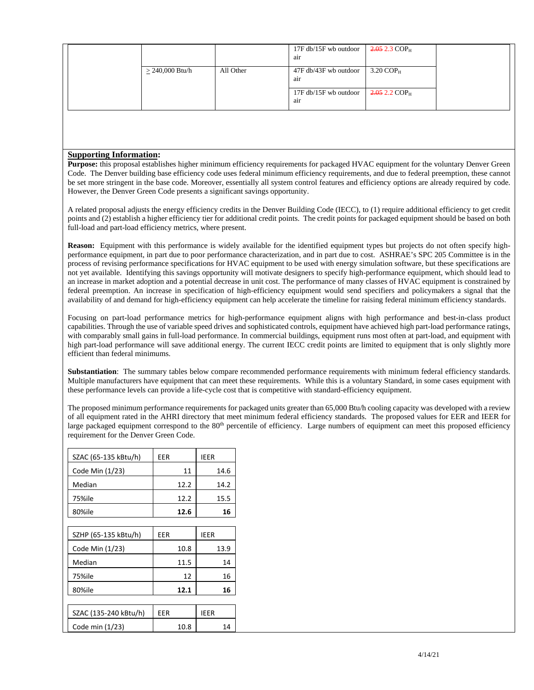|                   |           | 17F db/15F wb outdoor<br>air | $2.052.3$ COP <sub>H</sub> |  |
|-------------------|-----------|------------------------------|----------------------------|--|
| $> 240,000$ Btu/h | All Other | 47F db/43F wb outdoor<br>air | $3.20 \text{ COP}_{H}$     |  |
|                   |           | 17F db/15F wb outdoor<br>air | $2.0522$ COP <sub>H</sub>  |  |

#### **Supporting Information:**

**Purpose:** this proposal establishes higher minimum efficiency requirements for packaged HVAC equipment for the voluntary Denver Green Code. The Denver building base efficiency code uses federal minimum efficiency requirements, and due to federal preemption, these cannot be set more stringent in the base code. Moreover, essentially all system control features and efficiency options are already required by code. However, the Denver Green Code presents a significant savings opportunity.

A related proposal adjusts the energy efficiency credits in the Denver Building Code (IECC), to (1) require additional efficiency to get credit points and (2) establish a higher efficiency tier for additional credit points. The credit points for packaged equipment should be based on both full-load and part-load efficiency metrics, where present.

**Reason:** Equipment with this performance is widely available for the identified equipment types but projects do not often specify highperformance equipment, in part due to poor performance characterization, and in part due to cost. ASHRAE's SPC 205 Committee is in the process of revising performance specifications for HVAC equipment to be used with energy simulation software, but these specifications are not yet available. Identifying this savings opportunity will motivate designers to specify high-performance equipment, which should lead to an increase in market adoption and a potential decrease in unit cost. The performance of many classes of HVAC equipment is constrained by federal preemption. An increase in specification of high-efficiency equipment would send specifiers and policymakers a signal that the availability of and demand for high-efficiency equipment can help accelerate the timeline for raising federal minimum efficiency standards.

Focusing on part-load performance metrics for high-performance equipment aligns with high performance and best-in-class product capabilities. Through the use of variable speed drives and sophisticated controls, equipment have achieved high part-load performance ratings, with comparably small gains in full-load performance. In commercial buildings, equipment runs most often at part-load, and equipment with high part-load performance will save additional energy. The current IECC credit points are limited to equipment that is only slightly more efficient than federal minimums.

**Substantiation**: The summary tables below compare recommended performance requirements with minimum federal efficiency standards. Multiple manufacturers have equipment that can meet these requirements. While this is a voluntary Standard, in some cases equipment with these performance levels can provide a life-cycle cost that is competitive with standard-efficiency equipment.

The proposed minimum performance requirements for packaged units greater than 65,000 Btu/h cooling capacity was developed with a review of all equipment rated in the AHRI directory that meet minimum federal efficiency standards. The proposed values for EER and IEER for large packaged equipment correspond to the 80<sup>th</sup> percentile of efficiency. Large numbers of equipment can meet this proposed efficiency requirement for the Denver Green Code.

| SZAC (65-135 kBtu/h)  | EER  |      | IEER        |
|-----------------------|------|------|-------------|
| Code Min (1/23)       |      | 11   | 14.6        |
| Median                |      | 12.2 | 14.2        |
| 75%ile                |      | 12.2 | 15.5        |
| 80%ile                |      | 12.6 | 16          |
|                       |      |      |             |
| SZHP (65-135 kBtu/h)  | EER  |      | <b>IEER</b> |
| Code Min (1/23)       |      | 10.8 | 13.9        |
| Median                |      | 11.5 | 14          |
| 75%ile                |      | 12   | 16          |
| 80%ile                | 12.1 |      | 16          |
|                       |      |      |             |
| SZAC (135-240 kBtu/h) | EER  |      | <b>IEER</b> |
| Code min (1/23)       |      | 10.8 | 14          |